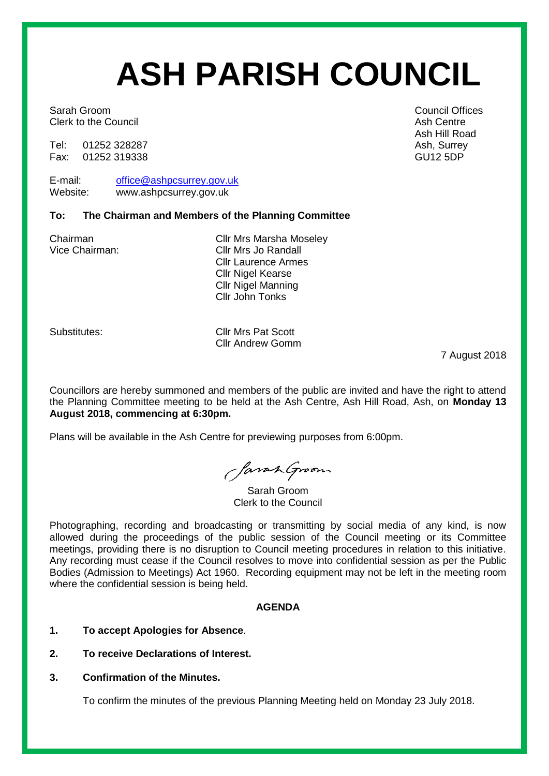# **ASH PARISH COUNCIL**

Sarah Groom **Council Offices** Sarah Groom **Council Offices** Clerk to the Council **Ash Centre** Ash Centre Ash Centre

Tel: 01252 328287 Ash, Surrey 328287<br>Fax: 01252 319338 Ash, Surrey 528287 Fax: 01252 319338

E-mail: [office@ashpcsurrey.gov.uk](mailto:office@ashpcsurrey.gov.uk) Website: www.ashpcsurrey.gov.uk

## **To: The Chairman and Members of the Planning Committee**

Chairman Cllr Mrs Marsha Moseley Vice Chairman: Cllr Mrs Jo Randall Cllr Laurence Armes Cllr Nigel Kearse Cllr Nigel Manning Cllr John Tonks

Substitutes: Cllr Mrs Pat Scott Cllr Andrew Gomm

7 August 2018

Councillors are hereby summoned and members of the public are invited and have the right to attend the Planning Committee meeting to be held at the Ash Centre, Ash Hill Road, Ash, on **Monday 13 August 2018, commencing at 6:30pm.** 

Plans will be available in the Ash Centre for previewing purposes from 6:00pm.

SavanGroom

Sarah Groom Clerk to the Council

Photographing, recording and broadcasting or transmitting by social media of any kind, is now allowed during the proceedings of the public session of the Council meeting or its Committee meetings, providing there is no disruption to Council meeting procedures in relation to this initiative. Any recording must cease if the Council resolves to move into confidential session as per the Public Bodies (Admission to Meetings) Act 1960. Recording equipment may not be left in the meeting room where the confidential session is being held.

# **AGENDA**

- **1. To accept Apologies for Absence**.
- **2. To receive Declarations of Interest.**
- **3. Confirmation of the Minutes.**

To confirm the minutes of the previous Planning Meeting held on Monday 23 July 2018.

Ash Hill Road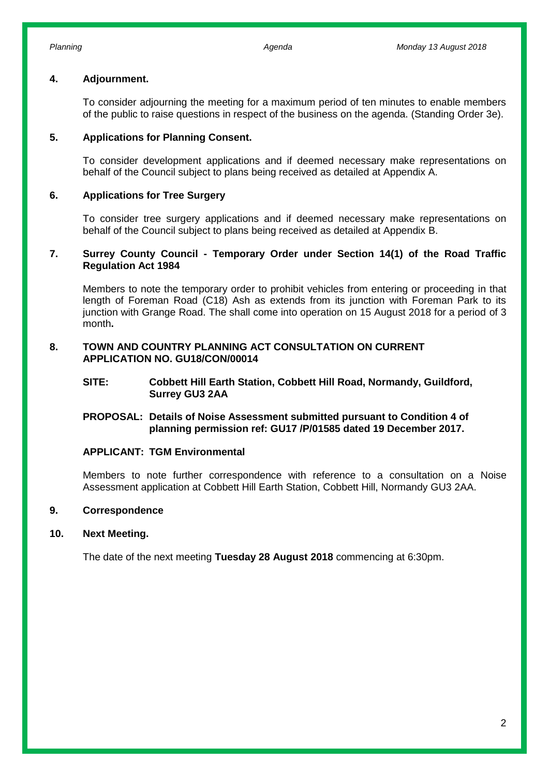### **4. Adjournment.**

To consider adjourning the meeting for a maximum period of ten minutes to enable members of the public to raise questions in respect of the business on the agenda. (Standing Order 3e).

## **5. Applications for Planning Consent.**

To consider development applications and if deemed necessary make representations on behalf of the Council subject to plans being received as detailed at Appendix A.

## **6. Applications for Tree Surgery**

To consider tree surgery applications and if deemed necessary make representations on behalf of the Council subject to plans being received as detailed at Appendix B.

## **7. Surrey County Council - Temporary Order under Section 14(1) of the Road Traffic Regulation Act 1984**

Members to note the temporary order to prohibit vehicles from entering or proceeding in that length of Foreman Road (C18) Ash as extends from its junction with Foreman Park to its junction with Grange Road. The shall come into operation on 15 August 2018 for a period of 3 month**.**

### **8. TOWN AND COUNTRY PLANNING ACT CONSULTATION ON CURRENT APPLICATION NO. GU18/CON/00014**

## **SITE: Cobbett Hill Earth Station, Cobbett Hill Road, Normandy, Guildford, Surrey GU3 2AA**

## **PROPOSAL: Details of Noise Assessment submitted pursuant to Condition 4 of planning permission ref: GU17 /P/01585 dated 19 December 2017.**

## **APPLICANT: TGM Environmental**

Members to note further correspondence with reference to a consultation on a Noise Assessment application at Cobbett Hill Earth Station, Cobbett Hill, Normandy GU3 2AA.

### **9. Correspondence**

### **10. Next Meeting.**

The date of the next meeting **Tuesday 28 August 2018** commencing at 6:30pm.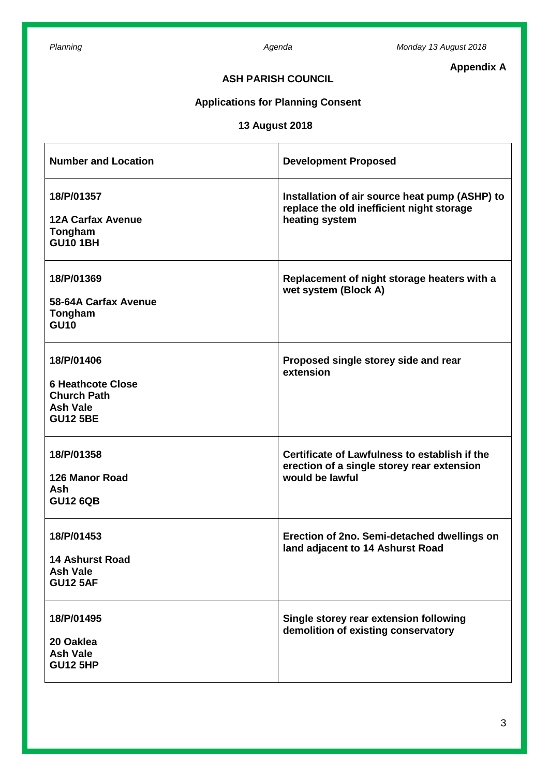**Appendix A**

# **ASH PARISH COUNCIL**

# **Applications for Planning Consent**

# **13 August 2018**

| <b>Number and Location</b>                                                                         | <b>Development Proposed</b>                                                                                    |
|----------------------------------------------------------------------------------------------------|----------------------------------------------------------------------------------------------------------------|
| 18/P/01357<br><b>12A Carfax Avenue</b><br>Tongham<br><b>GU10 1BH</b>                               | Installation of air source heat pump (ASHP) to<br>replace the old inefficient night storage<br>heating system  |
| 18/P/01369<br>58-64A Carfax Avenue<br>Tongham<br><b>GU10</b>                                       | Replacement of night storage heaters with a<br>wet system (Block A)                                            |
| 18/P/01406<br><b>6 Heathcote Close</b><br><b>Church Path</b><br><b>Ash Vale</b><br><b>GU12 5BE</b> | Proposed single storey side and rear<br>extension                                                              |
| 18/P/01358<br><b>126 Manor Road</b><br><b>Ash</b><br><b>GU12 6QB</b>                               | Certificate of Lawfulness to establish if the<br>erection of a single storey rear extension<br>would be lawful |
| 18/P/01453<br><b>14 Ashurst Road</b><br><b>Ash Vale</b><br><b>GU12 5AF</b>                         | Erection of 2no. Semi-detached dwellings on<br>land adjacent to 14 Ashurst Road                                |
| 18/P/01495<br>20 Oaklea<br><b>Ash Vale</b><br><b>GU12 5HP</b>                                      | Single storey rear extension following<br>demolition of existing conservatory                                  |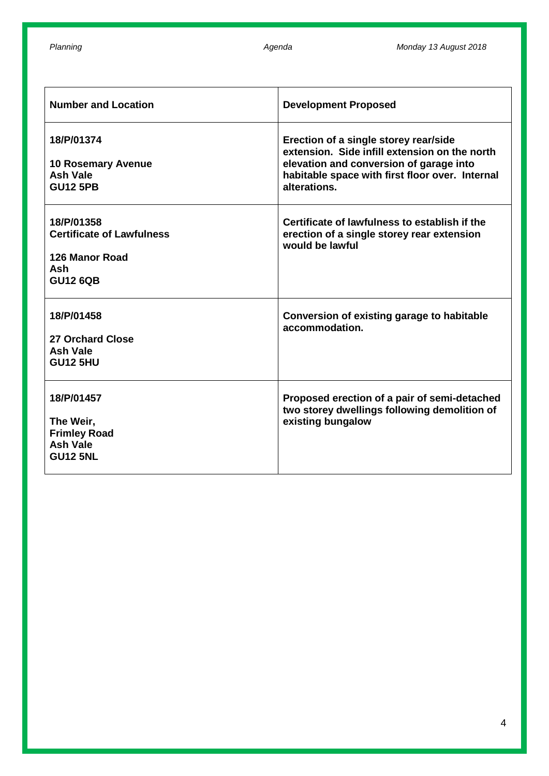| <b>Number and Location</b>                                                                 | <b>Development Proposed</b>                                                                                                                                                                          |
|--------------------------------------------------------------------------------------------|------------------------------------------------------------------------------------------------------------------------------------------------------------------------------------------------------|
| 18/P/01374<br><b>10 Rosemary Avenue</b><br><b>Ash Vale</b><br><b>GU12 5PB</b>              | Erection of a single storey rear/side<br>extension. Side infill extension on the north<br>elevation and conversion of garage into<br>habitable space with first floor over. Internal<br>alterations. |
| 18/P/01358<br><b>Certificate of Lawfulness</b><br>126 Manor Road<br>Ash<br><b>GU12 6QB</b> | Certificate of lawfulness to establish if the<br>erection of a single storey rear extension<br>would be lawful                                                                                       |
| 18/P/01458<br>27 Orchard Close<br><b>Ash Vale</b><br><b>GU12 5HU</b>                       | Conversion of existing garage to habitable<br>accommodation.                                                                                                                                         |
| 18/P/01457<br>The Weir,<br><b>Frimley Road</b><br><b>Ash Vale</b><br><b>GU12 5NL</b>       | Proposed erection of a pair of semi-detached<br>two storey dwellings following demolition of<br>existing bungalow                                                                                    |